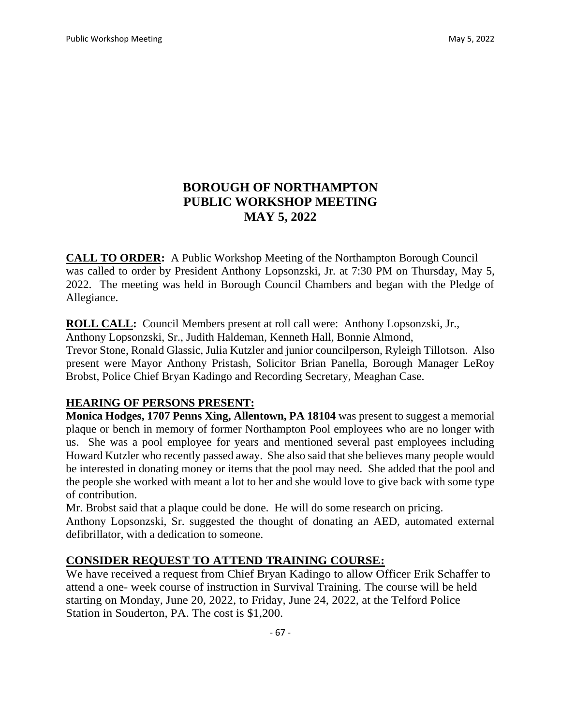# **BOROUGH OF NORTHAMPTON PUBLIC WORKSHOP MEETING MAY 5, 2022**

**CALL TO ORDER:** A Public Workshop Meeting of the Northampton Borough Council was called to order by President Anthony Lopsonzski, Jr. at 7:30 PM on Thursday, May 5, 2022. The meeting was held in Borough Council Chambers and began with the Pledge of Allegiance.

**ROLL CALL:** Council Members present at roll call were: Anthony Lopsonzski, Jr.,

Anthony Lopsonzski, Sr., Judith Haldeman, Kenneth Hall, Bonnie Almond,

Trevor Stone, Ronald Glassic, Julia Kutzler and junior councilperson, Ryleigh Tillotson. Also present were Mayor Anthony Pristash, Solicitor Brian Panella, Borough Manager LeRoy Brobst, Police Chief Bryan Kadingo and Recording Secretary, Meaghan Case.

### **HEARING OF PERSONS PRESENT:**

**Monica Hodges, 1707 Penns Xing, Allentown, PA 18104** was present to suggest a memorial plaque or bench in memory of former Northampton Pool employees who are no longer with us. She was a pool employee for years and mentioned several past employees including Howard Kutzler who recently passed away. She also said that she believes many people would be interested in donating money or items that the pool may need. She added that the pool and the people she worked with meant a lot to her and she would love to give back with some type of contribution.

Mr. Brobst said that a plaque could be done. He will do some research on pricing. Anthony Lopsonzski, Sr. suggested the thought of donating an AED, automated external defibrillator, with a dedication to someone.

## **CONSIDER REQUEST TO ATTEND TRAINING COURSE:**

We have received a request from Chief Bryan Kadingo to allow Officer Erik Schaffer to attend a one- week course of instruction in Survival Training. The course will be held starting on Monday, June 20, 2022, to Friday, June 24, 2022, at the Telford Police Station in Souderton, PA. The cost is \$1,200.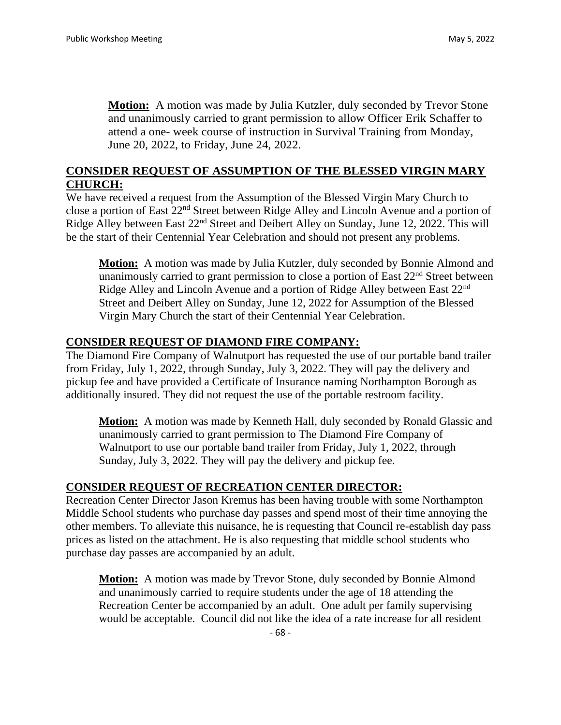**Motion:** A motion was made by Julia Kutzler, duly seconded by Trevor Stone and unanimously carried to grant permission to allow Officer Erik Schaffer to attend a one- week course of instruction in Survival Training from Monday, June 20, 2022, to Friday, June 24, 2022.

### **CONSIDER REQUEST OF ASSUMPTION OF THE BLESSED VIRGIN MARY CHURCH:**

We have received a request from the Assumption of the Blessed Virgin Mary Church to close a portion of East 22nd Street between Ridge Alley and Lincoln Avenue and a portion of Ridge Alley between East 22<sup>nd</sup> Street and Deibert Alley on Sunday, June 12, 2022. This will be the start of their Centennial Year Celebration and should not present any problems.

**Motion:** A motion was made by Julia Kutzler, duly seconded by Bonnie Almond and unanimously carried to grant permission to close a portion of East 22<sup>nd</sup> Street between Ridge Alley and Lincoln Avenue and a portion of Ridge Alley between East 22nd Street and Deibert Alley on Sunday, June 12, 2022 for Assumption of the Blessed Virgin Mary Church the start of their Centennial Year Celebration.

#### **CONSIDER REQUEST OF DIAMOND FIRE COMPANY:**

The Diamond Fire Company of Walnutport has requested the use of our portable band trailer from Friday, July 1, 2022, through Sunday, July 3, 2022. They will pay the delivery and pickup fee and have provided a Certificate of Insurance naming Northampton Borough as additionally insured. They did not request the use of the portable restroom facility.

**Motion:** A motion was made by Kenneth Hall, duly seconded by Ronald Glassic and unanimously carried to grant permission to The Diamond Fire Company of Walnutport to use our portable band trailer from Friday, July 1, 2022, through Sunday, July 3, 2022. They will pay the delivery and pickup fee.

#### **CONSIDER REQUEST OF RECREATION CENTER DIRECTOR:**

Recreation Center Director Jason Kremus has been having trouble with some Northampton Middle School students who purchase day passes and spend most of their time annoying the other members. To alleviate this nuisance, he is requesting that Council re-establish day pass prices as listed on the attachment. He is also requesting that middle school students who purchase day passes are accompanied by an adult.

**Motion:** A motion was made by Trevor Stone, duly seconded by Bonnie Almond and unanimously carried to require students under the age of 18 attending the Recreation Center be accompanied by an adult. One adult per family supervising would be acceptable. Council did not like the idea of a rate increase for all resident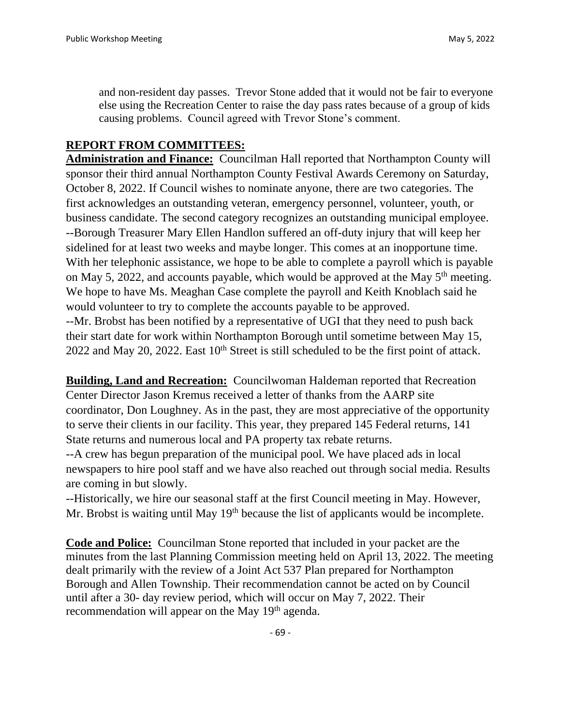and non-resident day passes. Trevor Stone added that it would not be fair to everyone else using the Recreation Center to raise the day pass rates because of a group of kids causing problems. Council agreed with Trevor Stone's comment.

### **REPORT FROM COMMITTEES:**

**Administration and Finance:** Councilman Hall reported that Northampton County will sponsor their third annual Northampton County Festival Awards Ceremony on Saturday, October 8, 2022. If Council wishes to nominate anyone, there are two categories. The first acknowledges an outstanding veteran, emergency personnel, volunteer, youth, or business candidate. The second category recognizes an outstanding municipal employee. --Borough Treasurer Mary Ellen Handlon suffered an off-duty injury that will keep her sidelined for at least two weeks and maybe longer. This comes at an inopportune time. With her telephonic assistance, we hope to be able to complete a payroll which is payable on May 5, 2022, and accounts payable, which would be approved at the May  $5<sup>th</sup>$  meeting. We hope to have Ms. Meaghan Case complete the payroll and Keith Knoblach said he would volunteer to try to complete the accounts payable to be approved. --Mr. Brobst has been notified by a representative of UGI that they need to push back

their start date for work within Northampton Borough until sometime between May 15, 2022 and May 20, 2022. East  $10<sup>th</sup>$  Street is still scheduled to be the first point of attack.

**Building, Land and Recreation:** Councilwoman Haldeman reported that Recreation Center Director Jason Kremus received a letter of thanks from the AARP site coordinator, Don Loughney. As in the past, they are most appreciative of the opportunity to serve their clients in our facility. This year, they prepared 145 Federal returns, 141 State returns and numerous local and PA property tax rebate returns.

--A crew has begun preparation of the municipal pool. We have placed ads in local newspapers to hire pool staff and we have also reached out through social media. Results are coming in but slowly.

--Historically, we hire our seasonal staff at the first Council meeting in May. However, Mr. Brobst is waiting until May 19<sup>th</sup> because the list of applicants would be incomplete.

**Code and Police:** Councilman Stone reported that included in your packet are the minutes from the last Planning Commission meeting held on April 13, 2022. The meeting dealt primarily with the review of a Joint Act 537 Plan prepared for Northampton Borough and Allen Township. Their recommendation cannot be acted on by Council until after a 30- day review period, which will occur on May 7, 2022. Their recommendation will appear on the May 19<sup>th</sup> agenda.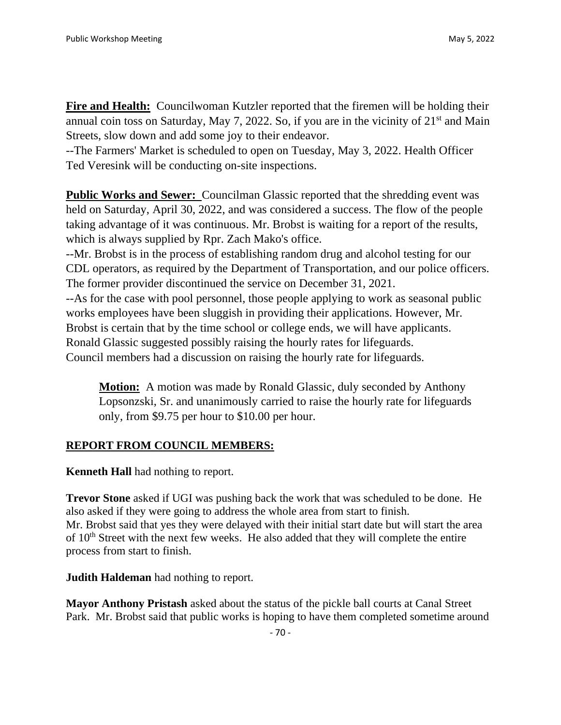**Fire and Health:** Councilwoman Kutzler reported that the firemen will be holding their annual coin toss on Saturday, May 7, 2022. So, if you are in the vicinity of  $21<sup>st</sup>$  and Main Streets, slow down and add some joy to their endeavor.

--The Farmers' Market is scheduled to open on Tuesday, May 3, 2022. Health Officer Ted Veresink will be conducting on-site inspections.

**Public Works and Sewer:** Councilman Glassic reported that the shredding event was held on Saturday, April 30, 2022, and was considered a success. The flow of the people taking advantage of it was continuous. Mr. Brobst is waiting for a report of the results, which is always supplied by Rpr. Zach Mako's office.

--Mr. Brobst is in the process of establishing random drug and alcohol testing for our CDL operators, as required by the Department of Transportation, and our police officers. The former provider discontinued the service on December 31, 2021.

--As for the case with pool personnel, those people applying to work as seasonal public works employees have been sluggish in providing their applications. However, Mr. Brobst is certain that by the time school or college ends, we will have applicants. Ronald Glassic suggested possibly raising the hourly rates for lifeguards. Council members had a discussion on raising the hourly rate for lifeguards.

**Motion:** A motion was made by Ronald Glassic, duly seconded by Anthony Lopsonzski, Sr. and unanimously carried to raise the hourly rate for lifeguards only, from \$9.75 per hour to \$10.00 per hour.

### **REPORT FROM COUNCIL MEMBERS:**

**Kenneth Hall** had nothing to report.

**Trevor Stone** asked if UGI was pushing back the work that was scheduled to be done. He also asked if they were going to address the whole area from start to finish. Mr. Brobst said that yes they were delayed with their initial start date but will start the area of  $10<sup>th</sup>$  Street with the next few weeks. He also added that they will complete the entire process from start to finish.

**Judith Haldeman** had nothing to report.

**Mayor Anthony Pristash** asked about the status of the pickle ball courts at Canal Street Park. Mr. Brobst said that public works is hoping to have them completed sometime around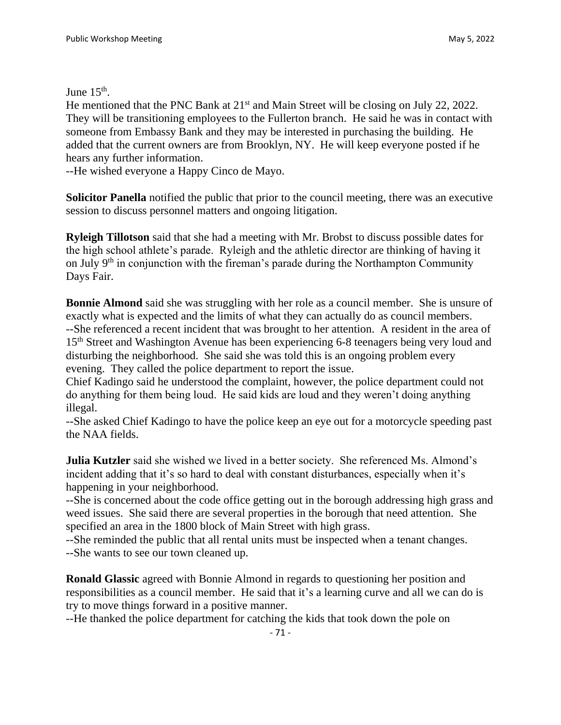June  $15<sup>th</sup>$ .

He mentioned that the PNC Bank at 21<sup>st</sup> and Main Street will be closing on July 22, 2022. They will be transitioning employees to the Fullerton branch. He said he was in contact with someone from Embassy Bank and they may be interested in purchasing the building. He added that the current owners are from Brooklyn, NY. He will keep everyone posted if he hears any further information.

--He wished everyone a Happy Cinco de Mayo.

**Solicitor Panella** notified the public that prior to the council meeting, there was an executive session to discuss personnel matters and ongoing litigation.

**Ryleigh Tillotson** said that she had a meeting with Mr. Brobst to discuss possible dates for the high school athlete's parade. Ryleigh and the athletic director are thinking of having it on July 9th in conjunction with the fireman's parade during the Northampton Community Days Fair.

**Bonnie Almond** said she was struggling with her role as a council member. She is unsure of exactly what is expected and the limits of what they can actually do as council members. --She referenced a recent incident that was brought to her attention. A resident in the area of 15<sup>th</sup> Street and Washington Avenue has been experiencing 6-8 teenagers being very loud and disturbing the neighborhood. She said she was told this is an ongoing problem every evening. They called the police department to report the issue.

Chief Kadingo said he understood the complaint, however, the police department could not do anything for them being loud. He said kids are loud and they weren't doing anything illegal.

--She asked Chief Kadingo to have the police keep an eye out for a motorcycle speeding past the NAA fields.

**Julia Kutzler** said she wished we lived in a better society. She referenced Ms. Almond's incident adding that it's so hard to deal with constant disturbances, especially when it's happening in your neighborhood.

--She is concerned about the code office getting out in the borough addressing high grass and weed issues. She said there are several properties in the borough that need attention. She specified an area in the 1800 block of Main Street with high grass.

--She reminded the public that all rental units must be inspected when a tenant changes.

--She wants to see our town cleaned up.

**Ronald Glassic** agreed with Bonnie Almond in regards to questioning her position and responsibilities as a council member. He said that it's a learning curve and all we can do is try to move things forward in a positive manner.

--He thanked the police department for catching the kids that took down the pole on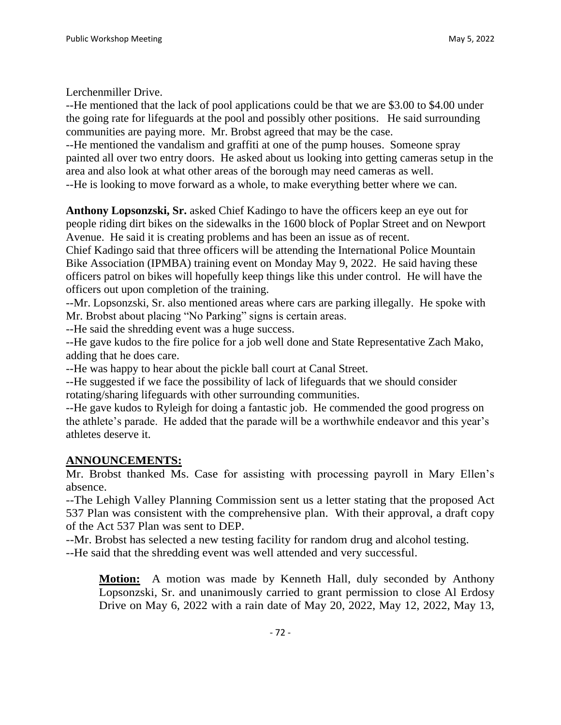Lerchenmiller Drive.

--He mentioned that the lack of pool applications could be that we are \$3.00 to \$4.00 under the going rate for lifeguards at the pool and possibly other positions. He said surrounding communities are paying more. Mr. Brobst agreed that may be the case.

--He mentioned the vandalism and graffiti at one of the pump houses. Someone spray painted all over two entry doors. He asked about us looking into getting cameras setup in the area and also look at what other areas of the borough may need cameras as well. --He is looking to move forward as a whole, to make everything better where we can.

**Anthony Lopsonzski, Sr.** asked Chief Kadingo to have the officers keep an eye out for people riding dirt bikes on the sidewalks in the 1600 block of Poplar Street and on Newport Avenue. He said it is creating problems and has been an issue as of recent.

Chief Kadingo said that three officers will be attending the International Police Mountain Bike Association (IPMBA) training event on Monday May 9, 2022. He said having these officers patrol on bikes will hopefully keep things like this under control. He will have the officers out upon completion of the training.

--Mr. Lopsonzski, Sr. also mentioned areas where cars are parking illegally. He spoke with Mr. Brobst about placing "No Parking" signs is certain areas.

--He said the shredding event was a huge success.

--He gave kudos to the fire police for a job well done and State Representative Zach Mako, adding that he does care.

--He was happy to hear about the pickle ball court at Canal Street.

--He suggested if we face the possibility of lack of lifeguards that we should consider rotating/sharing lifeguards with other surrounding communities.

--He gave kudos to Ryleigh for doing a fantastic job. He commended the good progress on the athlete's parade. He added that the parade will be a worthwhile endeavor and this year's athletes deserve it.

# **ANNOUNCEMENTS:**

Mr. Brobst thanked Ms. Case for assisting with processing payroll in Mary Ellen's absence.

--The Lehigh Valley Planning Commission sent us a letter stating that the proposed Act 537 Plan was consistent with the comprehensive plan. With their approval, a draft copy of the Act 537 Plan was sent to DEP.

--Mr. Brobst has selected a new testing facility for random drug and alcohol testing.

--He said that the shredding event was well attended and very successful.

**Motion:** A motion was made by Kenneth Hall, duly seconded by Anthony Lopsonzski, Sr. and unanimously carried to grant permission to close Al Erdosy Drive on May 6, 2022 with a rain date of May 20, 2022, May 12, 2022, May 13,